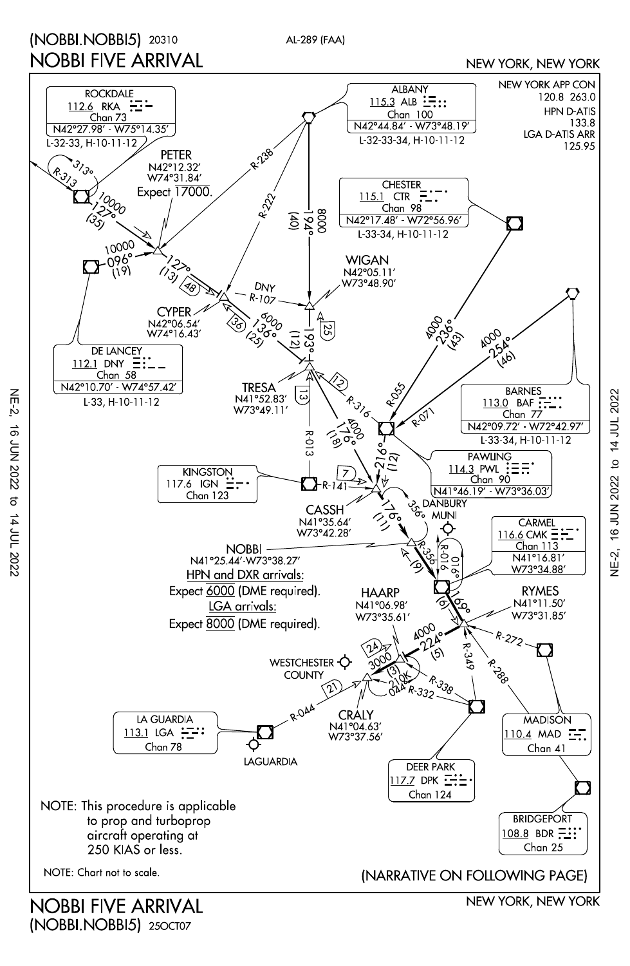## (NOBBI.NOBBI5) 20310 NOBBI FIVE ARRIVAL

AL-289 (FAA)

NEW YORK, NEW YORK



(NOBBI.NOBBI5) 250CT07

NE-2, 16 JUN 2022 to 14 JUL 2022

 $\overline{5}$ 

14 JUL 2022

**16 JUN 2022** 

 $NE-2$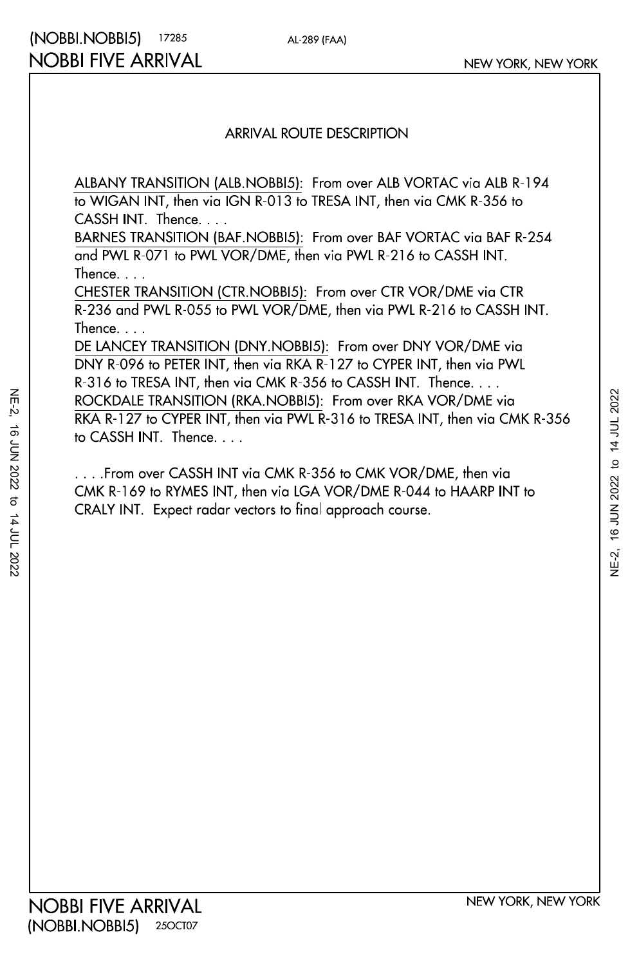## ARRIVAL ROUTE DESCRIPTION

AL-289 (FAA)

CASSH INT. Thence. . . . to WIGAN INT, then via IGN R-013 to TRESA INT, then via CMK R-356 to ALBANY TRANSITION (ALB.NOBBI5): From over ALB VORTAC via ALB R-194

Thence. . . . and PWL R-071 to PWL VOR/DME, then via PWL R-216 to CASSH INT. BARNES TRANSITION (BAF.NOBBI5): From over BAF VORTAC via BAF R-254

Thence. . . . R-236 and PWL R-055 to PWL VOR/DME, then via PWL R-216 to CASSH INT. CHESTER TRANSITION (CTR.NOBBI5): From over CTR VOR/DME via CTR

to CASSH INT. Thence. . . . RKA R-127 to CYPER INT, then via PWL R-316 to TRESA INT, then via CMK R-356 ROCKDALE TRANSITION (RKA.NOBBI5): From over RKA VOR/DME via R-316 to TRESA INT, then via CMK R-356 to CASSH INT. Thence. . . . DNY R-096 to PETER INT, then via RKA R-127 to CYPER INT, then via PWL DE LANCEY TRANSITION (DNY.NOBBI5): From over DNY VOR/DME via

CRALY INT. Expect radar vectors to final approach course. CMK R-169 to RYMES INT, then via LGA VOR/DME R-044 to HAARP INT to . . . .From over CASSH INT via CMK R-356 to CMK VOR/DME, then via

NE-2, 16 JUN 2022 to 14 JUL 2022

to 14 JUL 2022

16 JUN 2022

 $NE-2$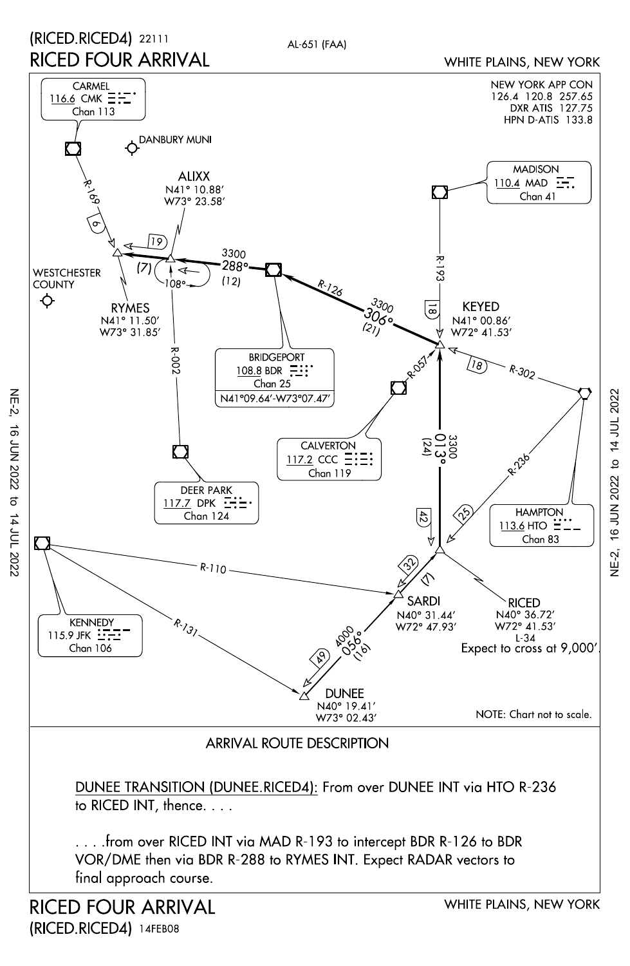

(RICED.RICED4)14FEB08